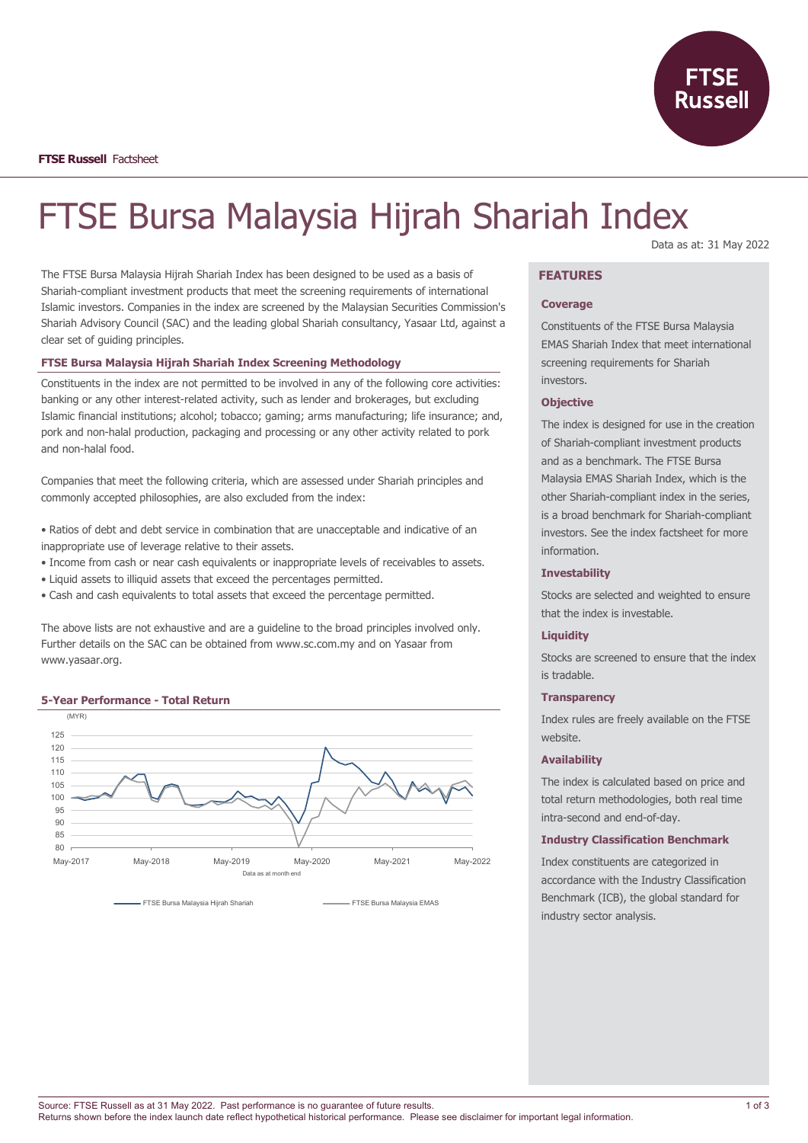

# FTSE Bursa Malaysia Hijrah Shariah Index

The FTSE Bursa Malaysia Hijrah Shariah Index has been designed to be used as a basis of Shariah-compliant investment products that meet the screening requirements of international Islamic investors. Companies in the index are screened by the Malaysian Securities Commission's Shariah Advisory Council (SAC) and the leading global Shariah consultancy, Yasaar Ltd, against a clear set of guiding principles.

## **FTSE Bursa Malaysia Hijrah Shariah Index Screening Methodology**

Constituents in the index are not permitted to be involved in any of the following core activities: banking or any other interest-related activity, such as lender and brokerages, but excluding Islamic financial institutions; alcohol; tobacco; gaming; arms manufacturing; life insurance; and, pork and non-halal production, packaging and processing or any other activity related to pork and non-halal food.

Companies that meet the following criteria, which are assessed under Shariah principles and commonly accepted philosophies, are also excluded from the index:

- Ratios of debt and debt service in combination that are unacceptable and indicative of an inappropriate use of leverage relative to their assets.
- Income from cash or near cash equivalents or inappropriate levels of receivables to assets.
- Liquid assets to illiquid assets that exceed the percentages permitted.
- Cash and cash equivalents to total assets that exceed the percentage permitted.

The above lists are not exhaustive and are a guideline to the broad principles involved only. Further details on the SAC can be obtained from www.sc.com.my and on Yasaar from www.yasaar.org.

#### **5-Year Performance - Total Return**



FTSE Bursa Malaysia Hiirah Shariah FTSE Bursa Malaysia EMAS

Data as at: 31 May 2022

# **FEATURES**

#### **Coverage**

Constituents of the FTSE Bursa Malaysia EMAS Shariah Index that meet international screening requirements for Shariah investors.

#### **Objective**

The index is designed for use in the creation of Shariah-compliant investment products and as a benchmark. The FTSE Bursa Malaysia EMAS Shariah Index, which is the other Shariah-compliant index in the series, is a broad benchmark for Shariah-compliant investors. See the index factsheet for more information.

## **Investability**

Stocks are selected and weighted to ensure that the index is investable.

## **Liquidity**

Stocks are screened to ensure that the index is tradable.

#### **Transparency**

Index rules are freely available on the FTSE website.

## **Availability**

The index is calculated based on price and total return methodologies, both real time intra-second and end-of-day.

## **Industry Classification Benchmark**

Index constituents are categorized in accordance with the Industry Classification Benchmark (ICB), the global standard for industry sector analysis.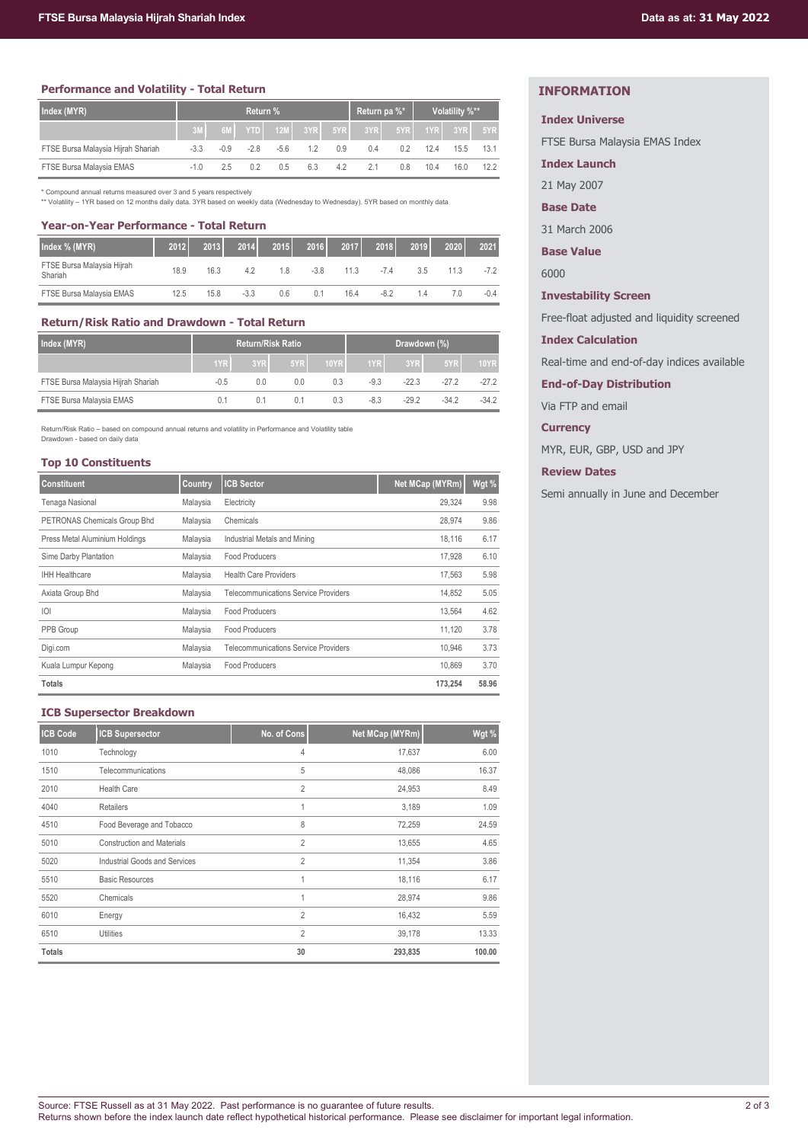## **Performance and Volatility - Total Return**

| Index (MYR)                        | Return % |        |        |        |     |         | Return pa %* 1 |     | Volatility %** |             |      |
|------------------------------------|----------|--------|--------|--------|-----|---------|----------------|-----|----------------|-------------|------|
|                                    |          | 6M     | YTD    | 12M    |     | 3YR 5YR | 3YR            | 5YR |                | $1YR$ $3YR$ | 5YR  |
| FTSE Bursa Malaysia Hijrah Shariah | $-3.3$   | $-0.9$ | $-2.8$ | $-5.6$ | 1.2 | 0.9     | 0.4            | 0.2 | 12.4           | 15.5        | 13.1 |
| FTSE Bursa Malaysia EMAS           | $-1.0$   | 2.5    | 02     | 0.5    | 6.3 | 4.2     | 21             | 08  | 10.4           | 16.0        | 122  |

\* Compound annual returns measured over 3 and 5 years respectively

\*\* Volatility – 1YR based on 12 months daily data. 3YR based on weekly data (Wednesday to Wednesday). 5YR based on monthly data

| <b>Year-on-Year Performance - Total Return</b> |      |      |        |      |        |      |        |      |      |        |
|------------------------------------------------|------|------|--------|------|--------|------|--------|------|------|--------|
| Index % (MYR)                                  | 2012 | 2013 | 2014   | 2015 | 2016   | 2017 | 2018   | 2019 | 2020 | 2021   |
| FTSE Bursa Malaysia Hijrah<br>Shariah          | 18.9 | 16.3 | 42     | 18   | $-3.8$ | 11.3 | -74    | 35   | 11.3 | $-7.2$ |
| FTSE Bursa Malaysia EMAS                       | 12.5 | 15.8 | $-3.3$ | 0.6  | 0.1    | 16.4 | $-8.2$ | 14   | 7 N  | $-0.4$ |

## **Return/Risk Ratio and Drawdown - Total Return**

| Index (MYR)                        | <b>Return/Risk Ratio</b> |     |     | Drawdown (%) |        |         |         |             |
|------------------------------------|--------------------------|-----|-----|--------------|--------|---------|---------|-------------|
|                                    | 1YR                      | 3YR | 5YR | 10YR         |        | 1YR 3YR | 5YR     | <b>10YR</b> |
| FTSE Bursa Malaysia Hijrah Shariah | $-0.5$                   | 0.0 | 0.0 | 0.3          | -9.3   | $-22.3$ | $-272$  | -27.2       |
| FTSE Bursa Malaysia EMAS           | 0.1                      | 0.1 | 0.1 | 0.3          | $-8.3$ | $-29.2$ | $-34.2$ | $-34.2$     |

Return/Risk Ratio – based on compound annual returns and volatility in Performance and Volatility table Drawdown - based on daily data

#### **Top 10 Constituents**

| <b>Constituent</b>             | Country  | <b>ICB Sector</b>                           | Net MCap (MYRm) | Wgt % |
|--------------------------------|----------|---------------------------------------------|-----------------|-------|
| Tenaga Nasional                | Malaysia | Electricity                                 | 29.324          | 9.98  |
| PETRONAS Chemicals Group Bhd   | Malaysia | Chemicals                                   | 28,974          | 9.86  |
| Press Metal Aluminium Holdings | Malaysia | Industrial Metals and Mining                | 18,116          | 6.17  |
| Sime Darby Plantation          | Malaysia | <b>Food Producers</b>                       | 17,928          | 6.10  |
| <b>IHH Healthcare</b>          | Malaysia | <b>Health Care Providers</b>                | 17.563          | 5.98  |
| Axiata Group Bhd               | Malaysia | <b>Telecommunications Service Providers</b> | 14,852          | 5.05  |
| O                              | Malaysia | <b>Food Producers</b>                       | 13.564          | 4.62  |
| PPB Group                      | Malaysia | Food Producers                              | 11,120          | 3.78  |
| Digi.com                       | Malaysia | <b>Telecommunications Service Providers</b> | 10.946          | 3.73  |
| Kuala Lumpur Kepong            | Malaysia | Food Producers                              | 10,869          | 3.70  |
| <b>Totals</b>                  |          |                                             | 173,254         | 58.96 |

#### **ICB Supersector Breakdown**

| <b>ICB Code</b> | <b>ICB Supersector</b>               | No. of Cons    | Net MCap (MYRm) | Wgt %  |
|-----------------|--------------------------------------|----------------|-----------------|--------|
| 1010            | Technology                           | 4              | 17,637          | 6.00   |
| 1510            | Telecommunications                   | 5              | 48,086          | 16.37  |
| 2010            | <b>Health Care</b>                   | $\overline{2}$ | 24,953          | 8.49   |
| 4040            | <b>Retailers</b>                     | 1              | 3,189           | 1.09   |
| 4510            | Food Beverage and Tobacco            | 8              | 72,259          | 24.59  |
| 5010            | <b>Construction and Materials</b>    | $\overline{2}$ | 13,655          | 4.65   |
| 5020            | <b>Industrial Goods and Services</b> | $\overline{2}$ | 11,354          | 3.86   |
| 5510            | <b>Basic Resources</b>               |                | 18,116          | 6.17   |
| 5520            | Chemicals                            | 1              | 28,974          | 9.86   |
| 6010            | Energy                               | $\overline{2}$ | 16,432          | 5.59   |
| 6510            | Utilities                            | $\overline{2}$ | 39,178          | 13.33  |
| <b>Totals</b>   |                                      | 30             | 293,835         | 100.00 |

# **INFORMATION**

#### **Index Universe**

FTSE Bursa Malaysia EMAS Index

**Index Launch**

21 May 2007

#### **Base Date**

31 March 2006

**Base Value**

6000

# **Investability Screen**

Free-float adjusted and liquidity screened

#### **Index Calculation**

Real-time and end-of-day indices available

## **End-of-Day Distribution**

Via FTP and email

#### **Currency**

MYR, EUR, GBP, USD and JPY

## **Review Dates**

Semi annually in June and December